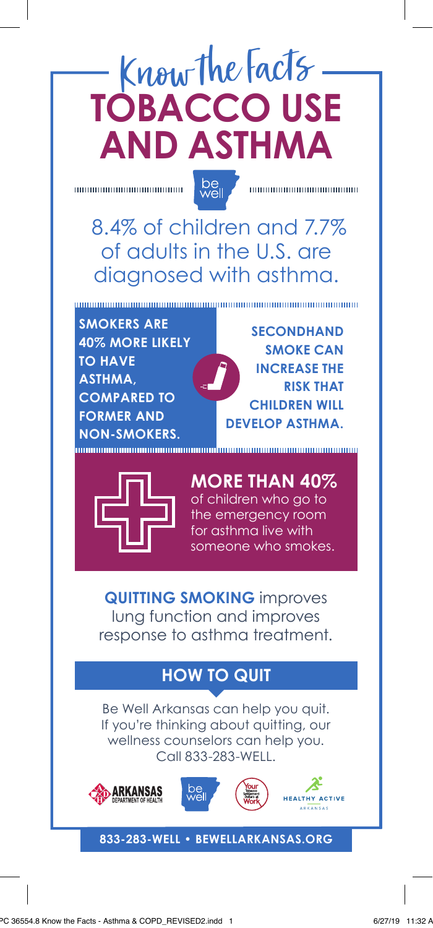## Know the Facts **TOBACCO USE AND ASTHMA**

be<br>well

100000000000000000000000

 8.4% of children and 7.7% of adults in the U.S. are diagnosed with asthma.

**SMOKERS ARE 40% MORE LIKELY TO HAVE ASTHMA, COMPARED TO FORMER AND NON-SMOKERS.** 

**SECONDHAND SMOKE CAN INCREASE THE RISK THAT CHILDREN WILL DEVELOP ASTHMA.**



**MORE THAN 40%** of children who go to the emergency room for asthma live with someone who smokes.

**QUITTING SMOKING** improves lung function and improves response to asthma treatment.

## **HOW TO QUIT**

Be Well Arkansas can help you quit. If you're thinking about quitting, our wellness counselors can help you. Call 833-283-WELL.







## **833-283-WELL • BEWELLARKANSAS.ORG**